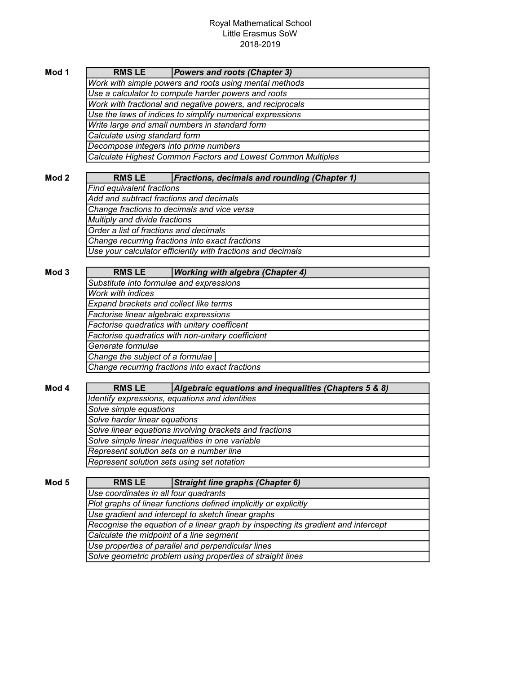## Royal Mathematical School Little Erasmus SoW 2018-2019

| Mod 1 | <b>RMS LE</b>                                                | <b>Powers and roots (Chapter 3)</b>                 |  |
|-------|--------------------------------------------------------------|-----------------------------------------------------|--|
|       | Work with simple powers and roots using mental methods       |                                                     |  |
|       | Use a calculator to compute harder powers and roots          |                                                     |  |
|       | Work with fractional and negative powers, and reciprocals    |                                                     |  |
|       | Use the laws of indices to simplify numerical expressions    |                                                     |  |
|       | Write large and small numbers in standard form               |                                                     |  |
|       | Calculate using standard form                                |                                                     |  |
|       | Decompose integers into prime numbers                        |                                                     |  |
|       | Calculate Highest Common Factors and Lowest Common Multiples |                                                     |  |
|       |                                                              |                                                     |  |
| Mod 2 | <b>RMSLE</b>                                                 | <b>Fractions, decimals and rounding (Chapter 1)</b> |  |
|       | Find equivalent fractions                                    |                                                     |  |
|       | Add and subtract fractions and decimals                      |                                                     |  |
|       | Change fractions to decimals and vice versa                  |                                                     |  |
|       | Multiply and divide fractions                                |                                                     |  |
|       | Order a list of fractions and decimals                       |                                                     |  |
|       | Change recurring fractions into exact fractions              |                                                     |  |
|       | Use your calculator efficiently with fractions and decimals  |                                                     |  |
|       |                                                              |                                                     |  |
| Mod 3 | <b>RMSLE</b>                                                 | <b>Working with algebra (Chapter 4)</b>             |  |
|       | Substitute into formulae and expressions                     |                                                     |  |

| RMJ LE                                            | (WOIKING WILH algebra (Ghapter 4) |  |  |
|---------------------------------------------------|-----------------------------------|--|--|
| Substitute into formulae and expressions          |                                   |  |  |
| <b>Work with indices</b>                          |                                   |  |  |
| Expand brackets and collect like terms            |                                   |  |  |
| Factorise linear algebraic expressions            |                                   |  |  |
| Factorise quadratics with unitary coefficent      |                                   |  |  |
| Factorise quadratics with non-unitary coefficient |                                   |  |  |
| Generate formulae                                 |                                   |  |  |
| Change the subject of a formulae                  |                                   |  |  |
| Change recurring fractions into exact fractions   |                                   |  |  |
|                                                   |                                   |  |  |

| Mod 4 | <b>RMSLE</b>                                            | Algebraic equations and inequalities (Chapters 5 & 8) |  |
|-------|---------------------------------------------------------|-------------------------------------------------------|--|
|       | Identify expressions, equations and identities          |                                                       |  |
|       | Solve simple equations                                  |                                                       |  |
|       | Solve harder linear equations                           |                                                       |  |
|       | Solve linear equations involving brackets and fractions |                                                       |  |
|       | Solve simple linear inequalities in one variable        |                                                       |  |
|       | Represent solution sets on a number line                |                                                       |  |
|       | Represent solution sets using set notation              |                                                       |  |

Mod 5 RMS LE Straight line graphs (Chapter 6) Use gradient and intercept to sketch linear graphs Recognise the equation of a linear graph by inspecting its gradient and intercept Calculate the midpoint of a line segment Use properties of parallel and perpendicular lines Solve geometric problem using properties of straight lines RMS LE Use coordinates in all four quadrants Plot graphs of linear functions defined implicitly or explicitly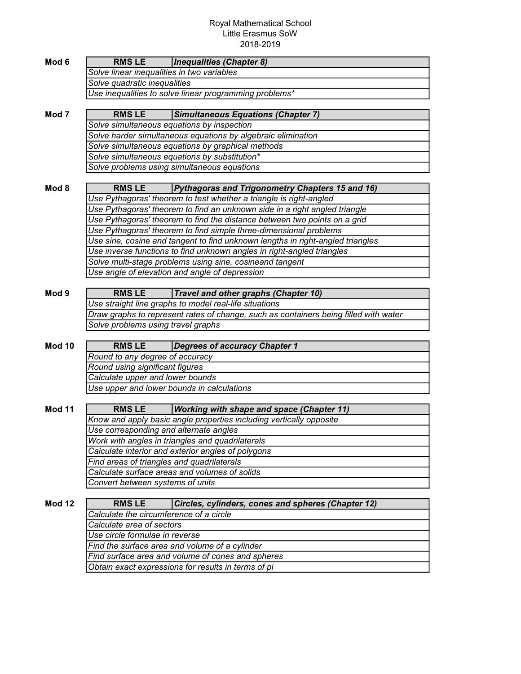## Royal Mathematical School Little Erasmus SoW 2018-2019

| Mod 6            | <b>RMSLE</b>                                                                                                      | <i><b>Inequalities (Chapter 8)</b></i>                                               |  |  |
|------------------|-------------------------------------------------------------------------------------------------------------------|--------------------------------------------------------------------------------------|--|--|
|                  | Solve linear inequalities in two variables                                                                        |                                                                                      |  |  |
|                  | Solve quadratic inequalities                                                                                      |                                                                                      |  |  |
|                  | Use inequalities to solve linear programming problems*                                                            |                                                                                      |  |  |
| Mod <sub>7</sub> | <b>RMS LE</b>                                                                                                     | <b>Simultaneous Equations (Chapter 7)</b>                                            |  |  |
|                  |                                                                                                                   |                                                                                      |  |  |
|                  | Solve simultaneous equations by inspection                                                                        |                                                                                      |  |  |
|                  | Solve harder simultaneous equations by algebraic elimination<br>Solve simultaneous equations by graphical methods |                                                                                      |  |  |
|                  |                                                                                                                   | Solve simultaneous equations by substitution*                                        |  |  |
|                  |                                                                                                                   |                                                                                      |  |  |
|                  | Solve problems using simultaneous equations                                                                       |                                                                                      |  |  |
| Mod 8            | <b>RMSLE</b>                                                                                                      | Pythagoras and Trigonometry Chapters 15 and 16)                                      |  |  |
|                  |                                                                                                                   | Use Pythagoras' theorem to test whether a triangle is right-angled                   |  |  |
|                  |                                                                                                                   | Use Pythagoras' theorem to find an unknown side in a right angled triangle           |  |  |
|                  |                                                                                                                   | Use Pythagoras' theorem to find the distance between two points on a grid            |  |  |
|                  |                                                                                                                   | Use Pythagoras' theorem to find simple three-dimensional problems                    |  |  |
|                  |                                                                                                                   | Use sine, cosine and tangent to find unknown lengths in right-angled triangles       |  |  |
|                  |                                                                                                                   | Use inverse functions to find unknown angles in right-angled triangles               |  |  |
|                  |                                                                                                                   | Solve multi-stage problems using sine, cosineand tangent                             |  |  |
|                  |                                                                                                                   | Use angle of elevation and angle of depression                                       |  |  |
|                  |                                                                                                                   |                                                                                      |  |  |
| Mod 9            | <b>RMSLE</b>                                                                                                      | Travel and other graphs (Chapter 10)                                                 |  |  |
|                  |                                                                                                                   | Use straight line graphs to model real-life situations                               |  |  |
|                  |                                                                                                                   | Draw graphs to represent rates of change, such as containers being filled with water |  |  |
|                  | Solve problems using travel graphs                                                                                |                                                                                      |  |  |
| <b>Mod 10</b>    | <b>RMSLE</b>                                                                                                      | <b>Degrees of accuracy Chapter 1</b>                                                 |  |  |
|                  | Round to any degree of accuracy                                                                                   |                                                                                      |  |  |
|                  | Round using significant figures                                                                                   |                                                                                      |  |  |
|                  | Calculate upper and lower bounds                                                                                  |                                                                                      |  |  |
|                  |                                                                                                                   | Use upper and lower bounds in calculations                                           |  |  |
|                  |                                                                                                                   |                                                                                      |  |  |
| <b>Mod 11</b>    | <b>RMSLE</b>                                                                                                      | <b>Working with shape and space (Chapter 11)</b>                                     |  |  |
|                  |                                                                                                                   | Know and apply basic angle properties including vertically opposite                  |  |  |
|                  | Use corresponding and alternate angles                                                                            |                                                                                      |  |  |
|                  | Work with angles in triangles and quadrilaterals                                                                  |                                                                                      |  |  |
|                  | Calculate interior and exterior angles of polygons                                                                |                                                                                      |  |  |
|                  | Find areas of triangles and quadrilaterals                                                                        |                                                                                      |  |  |
|                  | Calculate surface areas and volumes of solids                                                                     |                                                                                      |  |  |
|                  | Convert between systems of units                                                                                  |                                                                                      |  |  |
|                  |                                                                                                                   |                                                                                      |  |  |
| <b>Mod 12</b>    | <b>RMSLE</b>                                                                                                      | Circles, cylinders, cones and spheres (Chapter 12)                                   |  |  |
|                  | Calculate the circumference of a circle                                                                           |                                                                                      |  |  |
|                  | Calculate area of sectors                                                                                         |                                                                                      |  |  |
|                  | Use circle formulae in reverse                                                                                    |                                                                                      |  |  |
|                  | Find the surface area and volume of a cylinder                                                                    |                                                                                      |  |  |
|                  | Find surface area and volume of cones and spheres                                                                 |                                                                                      |  |  |
|                  | Obtain exact expressions for results in terms of pi                                                               |                                                                                      |  |  |